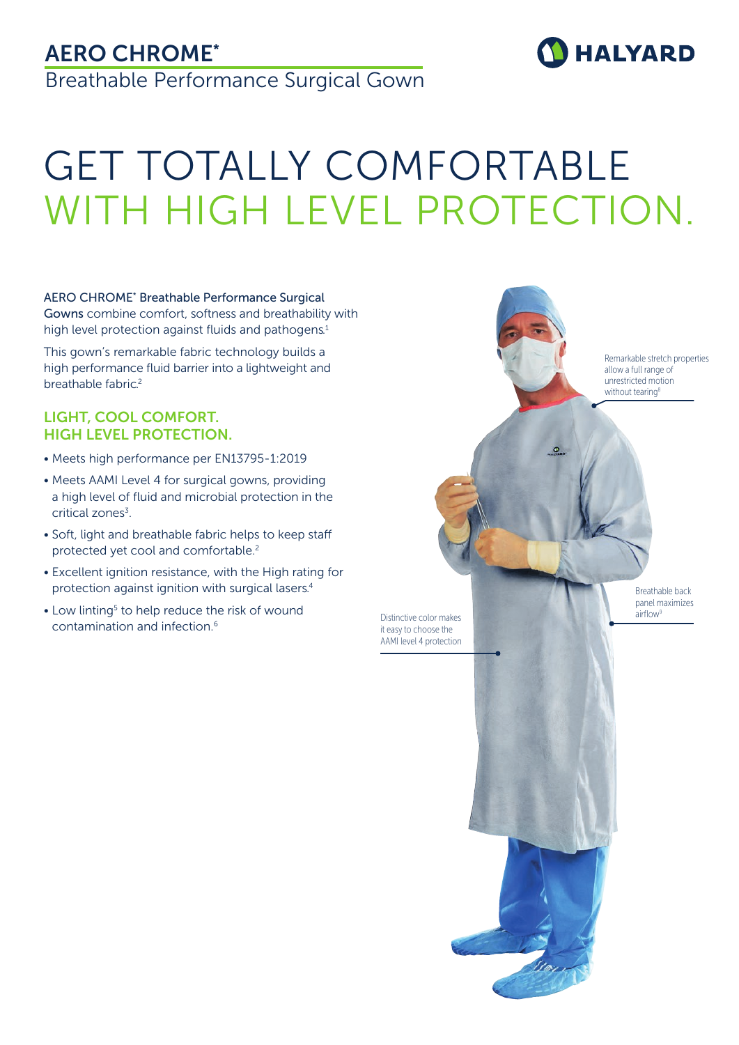# AERO CHROME\*

Breathable Performance Surgical Gown

# GET TOTALLY COMFORTABLE WITH HIGH LEVEL PROTECTION.

AERO CHROME\* Breathable Performance Surgical Gowns combine comfort, softness and breathability with high level protection against fluids and pathogens.<sup>1</sup>

This gown's remarkable fabric technology builds a high performance fluid barrier into a lightweight and breathable fabric.<sup>2</sup>

#### LIGHT, COOL COMFORT. HIGH LEVEL PROTECTION.

- Meets high performance per EN13795-1:2019
- Meets AAMI Level 4 for surgical gowns, providing a high level of fluid and microbial protection in the critical zones<sup>3</sup>.
- Soft, light and breathable fabric helps to keep staff protected yet cool and comfortable.<sup>2</sup>
- Excellent ignition resistance, with the High rating for protection against ignition with surgical lasers.4
- Low linting<sup>5</sup> to help reduce the risk of wound contamination and infection.6



**HALYARD**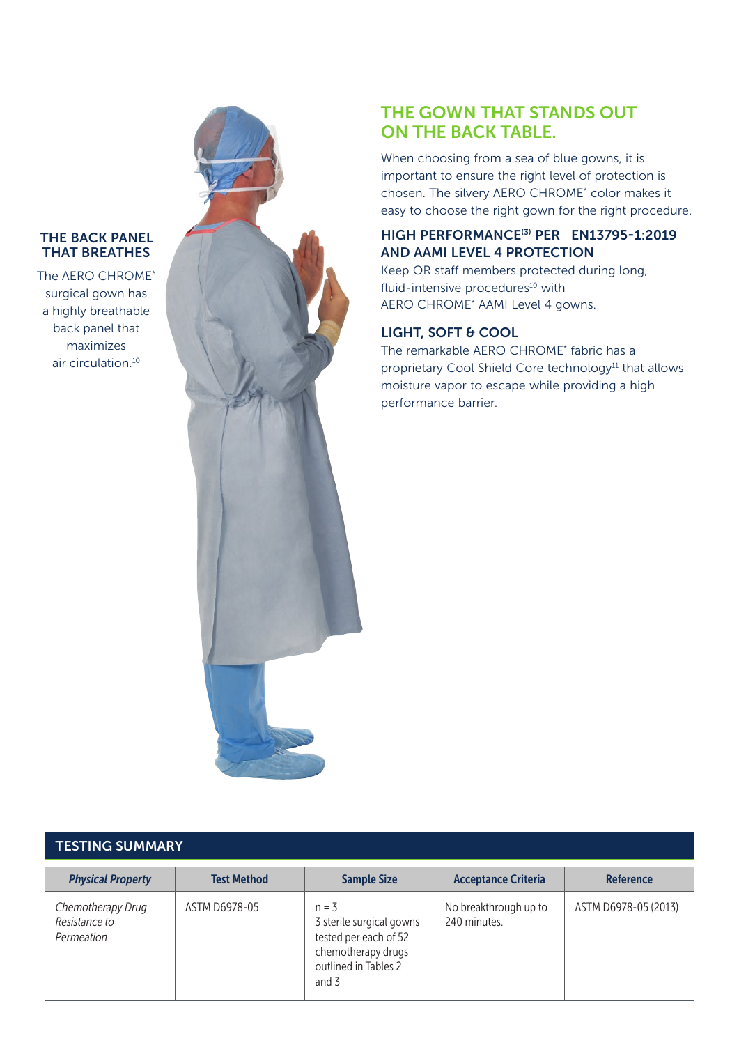#### THE BACK PANEL THAT BREATHES

The AERO CHROME\* surgical gown has a highly breathable back panel that maximizes air circulation.10



## THE GOWN THAT STANDS OUT ON THE BACK TABLE.

When choosing from a sea of blue gowns, it is important to ensure the right level of protection is chosen. The silvery AERO CHROME\* color makes it easy to choose the right gown for the right procedure.

#### HIGH PERFORMANCE(3) PER EN13795-1:2019 AND AAMI LEVEL 4 PROTECTION

Keep OR staff members protected during long, fluid-intensive procedures<sup>10</sup> with AERO CHROME\* AAMI Level 4 gowns.

#### LIGHT, SOFT & COOL

The remarkable AERO CHROME\* fabric has a proprietary Cool Shield Core technology<sup>11</sup> that allows moisture vapor to escape while providing a high performance barrier.

#### TESTING SUMMARY

| <b>Physical Property</b>                         | <b>Test Method</b> | <b>Sample Size</b>                                                                                                  | <b>Acceptance Criteria</b>            | <b>Reference</b>     |
|--------------------------------------------------|--------------------|---------------------------------------------------------------------------------------------------------------------|---------------------------------------|----------------------|
| Chemotherapy Drug<br>Resistance to<br>Permeation | ASTM D6978-05      | $n = 3$<br>3 sterile surgical gowns<br>tested per each of 52<br>chemotherapy drugs<br>outlined in Tables 2<br>and 3 | No breakthrough up to<br>240 minutes. | ASTM D6978-05 (2013) |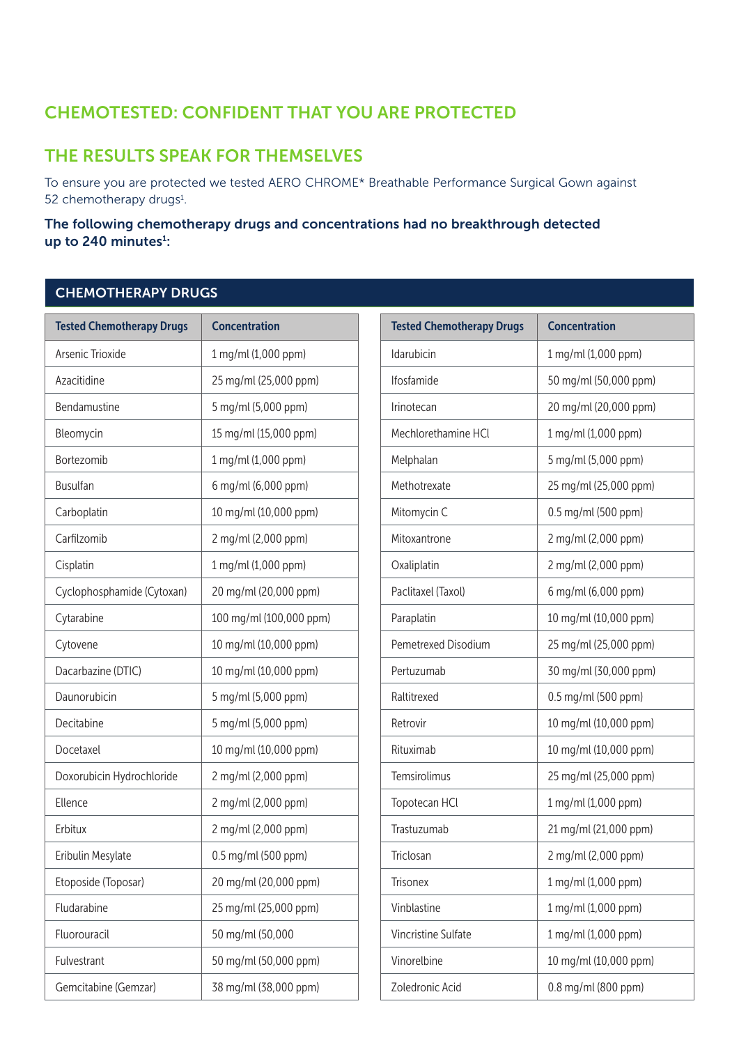# CHEMOTESTED: CONFIDENT THAT YOU ARE PROTECTED

### THE RESULTS SPEAK FOR THEMSELVES

To ensure you are protected we tested AERO CHROME\* Breathable Performance Surgical Gown against 52 chemotherapy drugs<sup>1</sup>.

#### The following chemotherapy drugs and concentrations had no breakthrough detected up to 240 minutes<sup>1</sup>:

#### CHEMOTHERAPY DRUGS

| <b>Tested Chemotherapy Drugs</b> | <b>Concentration</b>    | <b>Tested Chemotherapy Drugs</b> | <b>Concentration</b>  |
|----------------------------------|-------------------------|----------------------------------|-----------------------|
| Arsenic Trioxide                 | 1 mg/ml (1,000 ppm)     | Idarubicin                       | 1 mg/ml (1,000 ppm)   |
| Azacitidine                      | 25 mg/ml (25,000 ppm)   | Ifosfamide                       | 50 mg/ml (50,000 ppm) |
| Bendamustine                     | 5 mg/ml (5,000 ppm)     | Irinotecan                       | 20 mg/ml (20,000 ppm) |
| Bleomycin                        | 15 mg/ml (15,000 ppm)   | Mechlorethamine HCl              | 1 mg/ml (1,000 ppm)   |
| Bortezomib                       | 1 mg/ml (1,000 ppm)     | Melphalan                        | 5 mg/ml (5,000 ppm)   |
| <b>Busulfan</b>                  | 6 mg/ml (6,000 ppm)     | Methotrexate                     | 25 mg/ml (25,000 ppm) |
| Carboplatin                      | 10 mg/ml (10,000 ppm)   | Mitomycin C                      | 0.5 mg/ml (500 ppm)   |
| Carfilzomib                      | 2 mg/ml (2,000 ppm)     | Mitoxantrone                     | 2 mg/ml (2,000 ppm)   |
| Cisplatin                        | 1 mg/ml (1,000 ppm)     | Oxaliplatin                      | 2 mg/ml (2,000 ppm)   |
| Cyclophosphamide (Cytoxan)       | 20 mg/ml (20,000 ppm)   | Paclitaxel (Taxol)               | 6 mg/ml (6,000 ppm)   |
| Cytarabine                       | 100 mg/ml (100,000 ppm) | Paraplatin                       | 10 mg/ml (10,000 ppm) |
| Cytovene                         | 10 mg/ml (10,000 ppm)   | Pemetrexed Disodium              | 25 mg/ml (25,000 ppm) |
| Dacarbazine (DTIC)               | 10 mg/ml (10,000 ppm)   | Pertuzumab                       | 30 mg/ml (30,000 ppm) |
| Daunorubicin                     | 5 mg/ml (5,000 ppm)     | Raltitrexed                      | 0.5 mg/ml (500 ppm)   |
| Decitabine                       | 5 mg/ml (5,000 ppm)     | Retrovir                         | 10 mg/ml (10,000 ppm) |
| Docetaxel                        | 10 mg/ml (10,000 ppm)   | Rituximab                        | 10 mg/ml (10,000 ppm) |
| Doxorubicin Hydrochloride        | 2 mg/ml (2,000 ppm)     | Temsirolimus                     | 25 mg/ml (25,000 ppm) |
| Ellence                          | 2 mg/ml (2,000 ppm)     | Topotecan HCl                    | 1 mg/ml (1,000 ppm)   |
| Erbitux                          | 2 mg/ml (2,000 ppm)     | Trastuzumab                      | 21 mg/ml (21,000 ppm) |
| Eribulin Mesylate                | 0.5 mg/ml (500 ppm)     | Triclosan                        | 2 mg/ml (2,000 ppm)   |
| Etoposide (Toposar)              | 20 mg/ml (20,000 ppm)   | Trisonex                         | 1 mg/ml (1,000 ppm)   |
| Fludarabine                      | 25 mg/ml (25,000 ppm)   | Vinblastine                      | 1 mg/ml (1,000 ppm)   |
| Fluorouracil                     | 50 mg/ml (50,000        | Vincristine Sulfate              | 1 mg/ml (1,000 ppm)   |
| Fulvestrant                      | 50 mg/ml (50,000 ppm)   | Vinorelbine                      | 10 mg/ml (10,000 ppm) |
| Gemcitabine (Gemzar)             | 38 mg/ml (38,000 ppm)   | Zoledronic Acid                  | 0.8 mg/ml (800 ppm)   |

| <b>Tested Chemotherapy Drugs</b> | <b>Concentration</b>  |
|----------------------------------|-----------------------|
| Idarubicin                       | 1 mg/ml (1,000 ppm)   |
| Ifosfamide                       | 50 mg/ml (50,000 ppm) |
| Irinotecan                       | 20 mg/ml (20,000 ppm) |
| Mechlorethamine HCI              | 1 mg/ml (1,000 ppm)   |
| Melphalan                        | 5 mg/ml (5,000 ppm)   |
| Methotrexate                     | 25 mg/ml (25,000 ppm) |
| Mitomycin C                      | 0.5 mg/ml (500 ppm)   |
| Mitoxantrone                     | 2 mg/ml (2,000 ppm)   |
| Oxaliplatin                      | 2 mg/ml (2,000 ppm)   |
| Paclitaxel (Taxol)               | 6 mg/ml (6,000 ppm)   |
| Paraplatin                       | 10 mg/ml (10,000 ppm) |
| Pemetrexed Disodium              | 25 mg/ml (25,000 ppm) |
| Pertuzumab                       | 30 mg/ml (30,000 ppm) |
| Raltitrexed                      | 0.5 mg/ml (500 ppm)   |
| Retrovir                         | 10 mg/ml (10,000 ppm) |
| Rituximab                        | 10 mg/ml (10,000 ppm) |
| Temsirolimus                     | 25 mg/ml (25,000 ppm) |
| Topotecan HCl                    | 1 mg/ml (1,000 ppm)   |
| Trastuzumab                      | 21 mg/ml (21,000 ppm) |
| Triclosan                        | 2 mg/ml (2,000 ppm)   |
| <b>Trisonex</b>                  | 1 mg/ml (1,000 ppm)   |
| Vinblastine                      | 1 mg/ml (1,000 ppm)   |
| Vincristine Sulfate              | 1 mg/ml (1,000 ppm)   |
| Vinorelbine                      | 10 mg/ml (10,000 ppm) |
| Zoledronic Acid                  | 0.8 mg/ml (800 ppm)   |